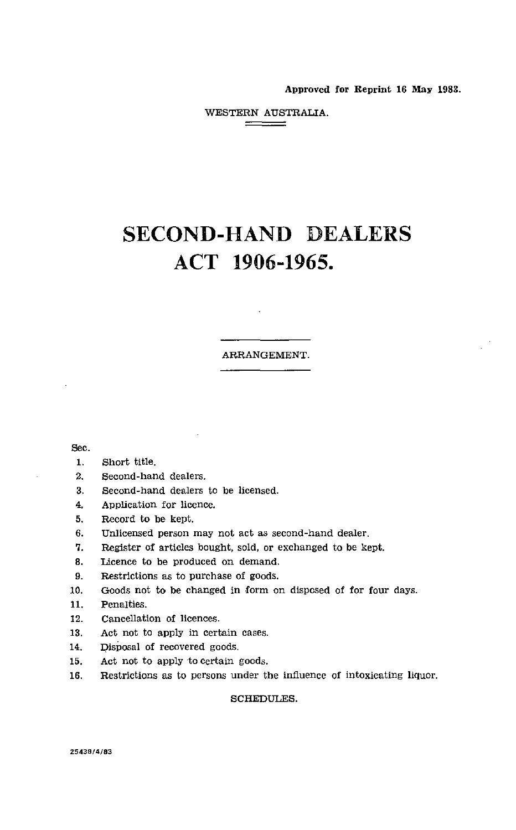Approved for Reprint 16 May 1983.

WESTERN AUSTRALIA. 

# SECOND-HAND DEALERS ACT 1906-1965.

### ARRANGEMENT.

Sec.

- 1. Short title.
- 2. Second-hand dealers.
- 3. Second-hand dealers to be licensed.
- 4. Application for licence.
- 5. Record to be kept.
- 6. Unlicensed person may not act *as* second-hand dealer.
- 7. Register of articles bought, sold, or exchanged to be kept.
- 8. Licence to be produced on demand.
- 9. Restrictions as to purchase of goods.
- 10. Goods not to be changed in form on disposed of for four days.
- 11. Penalties.
- 12. Cancellation of licences.
- 13. Act not to apply in certain cases.
- 14. Disposal of recovered goods.
- 15. Act not to apply to certain goods.
- 16. Restrictions as to persons under the influence of intoxicating liquor.

SCHEDULES.

**25438/4/83**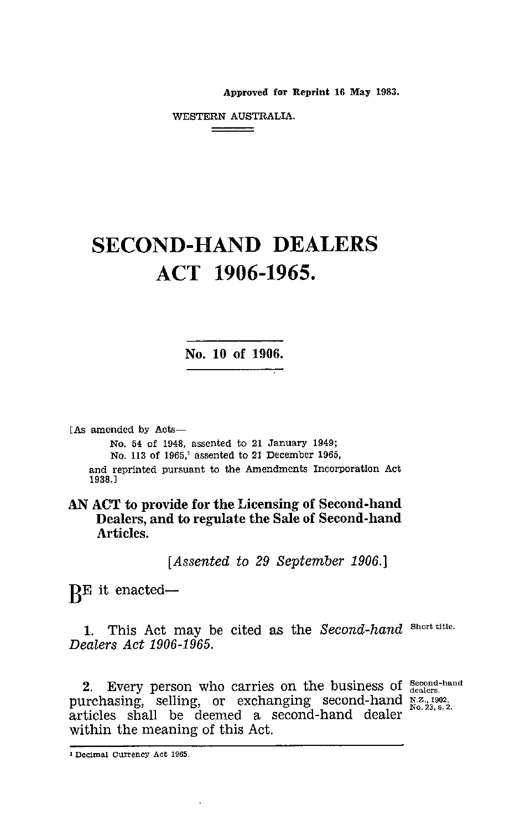Approved for Reprint 16 May 1983.

WESTERN AUSTRALIA. 

# SECOND-HAND DEALERS ACT 1906-1965.

**No. 10 of 1906.**

[As amended by Acts-

No. 54 of 1948, assented to 21 January 1949; No. 113 of 1965,' assented to 21 December 1965, and reprinted pursuant to the Amendments Incorporation Act 1938.]

**AN ACT to provide for the Licensing of Second-hand Dealers, and to regulate the Sale of Second-hand Articles.**

*[Assented to 29 September 1906.]*

RE it enacted-

1. This Act may be cited as the *Second-hand* Short title. *Dealers Act 1906-1965.*

2. Every person who carries on the business of Second-hand purchasing, selling, or exchanging second-hand  $\frac{N Z}{N Q}$ ,  $\frac{2.71992}{N Q}$ purchasing, seming, or exeminging second-hand  $\frac{N_0.23, s. 2.}{N_0.23, s. 2.}$ within the meaning of this Act.

<sup>1</sup> Decimal Currency Act 1965.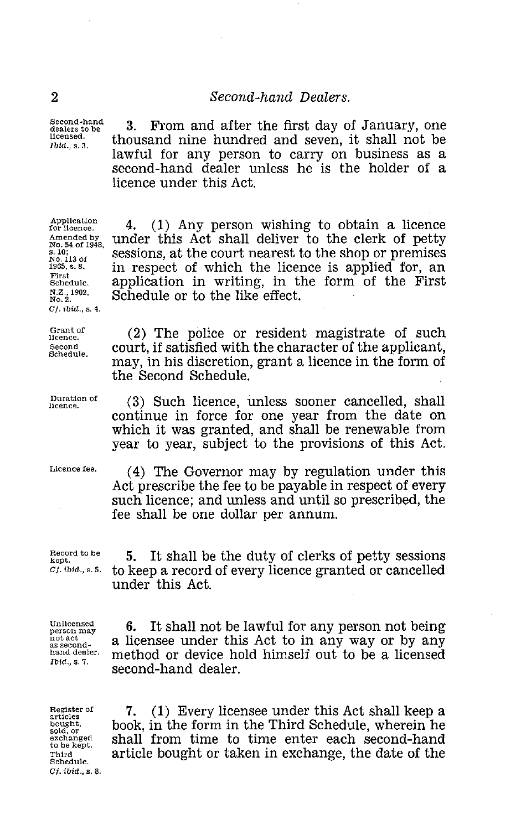Second-hand dealers to be licensed. *Ibid.,* s. 3.

<sup>2</sup><br><sup>3econd-hand</sup> 2. From and after the first day of<br><sup>3econd-hand</sup> 3. From and after the first day of<br><sup>10td., s. 3. thousand nine hundred and seven,</sup> 3. From and after the first day of January, one thousand nine hundred and seven, it shall not be lawful for any person to carry on business as a second-hand dealer unless he is the holder of a licence under this Act.

> 4. (1) Any person wishing to obtain a licence under this Act shall deliver to the clerk of petty sessions, at the court nearest to the shop or premises in respect of which the licence is applied for, an application in writing, in the form of the First

> (2) The police or resident magistrate of such court, if satisfied with the character of the applicant, may, in his discretion, grant a licence in the form of

> (3) Such licence, unless sooner cancelled, shall continue in force for one year from the date on which it was granted, and shall be renewable from year to year, subject to the provisions of this Act.

Schedule or to the like effect.

the Second Schedule.

Application for licence. Amended by No. 54 of 1948, s. 10; No. 113 of 1965, s. 8. First Schedule. N.Z., 1902, No. 2. C!. *ibid., s. 4.*

Grant of licence. Second Schedule.

Duration of

licence.

Licence fee.

(4) The Governor may by regulation under this Act prescribe the fee to be payable in respect of every such licence; and unless and until so prescribed, the fee shall be one dollar per annum.

Record to be kept. *CI. ibid., s.* 5.

5. It shall be the duty of clerks of petty sessions to keep a record of every licence granted or cancelled under this Act.

Unlicensed person may not act as secondhand dealer *Ibid.,* s. 7.

6. It shall not be lawful for any person not being a licensee under this Act to in any way or by any method or device hold himself out to be a licensed second-hand dealer.

Register of articles bought, sold, or exchanged to be kept. Third Schedule. *C/.* ibid., s. 8.

7. (1) Every licensee under this Act shall keep a book, in the form in the Third Schedule, wherein he shall from time to time enter each second-hand article bought or taken in exchange, the date of the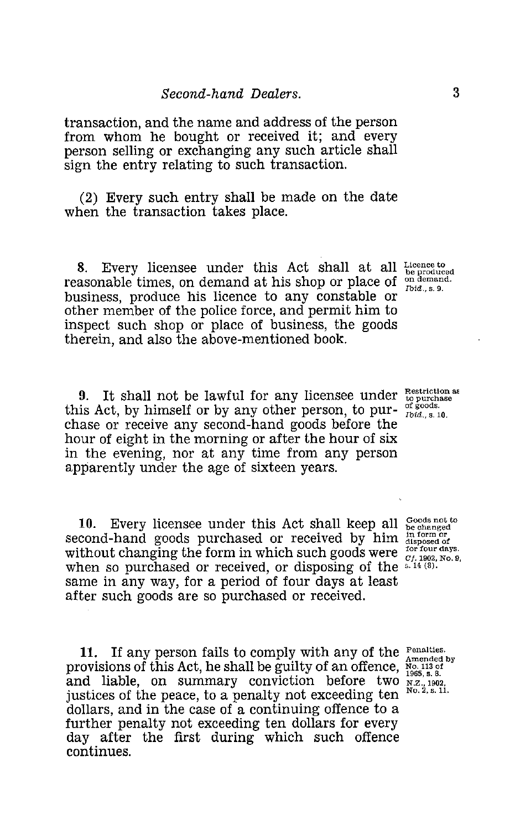*Second-hand Dealers.*  <sup>3</sup> transaction, and the name and address of the person from whom he bought or received it; and every person selling or exchanging any such article shall sign the entry relating to such transaction.

(2) Every such entry shall be made on the date when the transaction takes place.

8. Every licensee under this Act shall at all reasonable times, on demand at his shop or place of business, produce his licence to any constable or other member of the police force, and permit him to inspect such shop or place of business, the goods therein, and also the above-mentioned book.

9. It shall not be lawful for any licensee under  $\frac{\text{Restriction as}}{\text{top of goods}}$ this Act, by himself or by any other person, to pur-  $\frac{\text{or } \text{goods}}{\text{Ibid., s. 10}}$ chase or receive any second-hand goods before the hour of eight in the morning or after the hour of six in the evening, nor at any time from any person apparently under the age of sixteen years.

10. Every licensee under this Act shall keep all second-hand goods purchased or received by him without changing the form in which such goods were when so purchased or received, or disposing of the same in any way, for a period of four days at least after such goods are so purchased or received.

11. If any person fails to comply with any of the Penalties. provisions of this Act, he shall be guilty of an offence,  $_{\text{No}}^{N_{\text{O}}.113 \text{ of}}$ <br>and liable, on summary conviction before two  $_{\text{N2.1902}}^{N_{\text{O}}.13 \text{ of}}$ . 10. Every licensee under this Act shall keep all second-<br>second-hand goods purchased or received by him answered without changing the form in which such goods were for four due<br>when so purchased or received, or disposing justices of the peace, to a penalty not exceeding ten dollars, and in the case of a continuing offence to a further penalty not exceeding ten dollars for every day after the first during which such offence continues.

Licence to be produced on demand. Ibid., s. 9.

Goods not to<br>be changed<br>disposed of<br>disposed of<br>for four days.<br>*Cf.* 1902, No. 9,<br>s. 14 (8).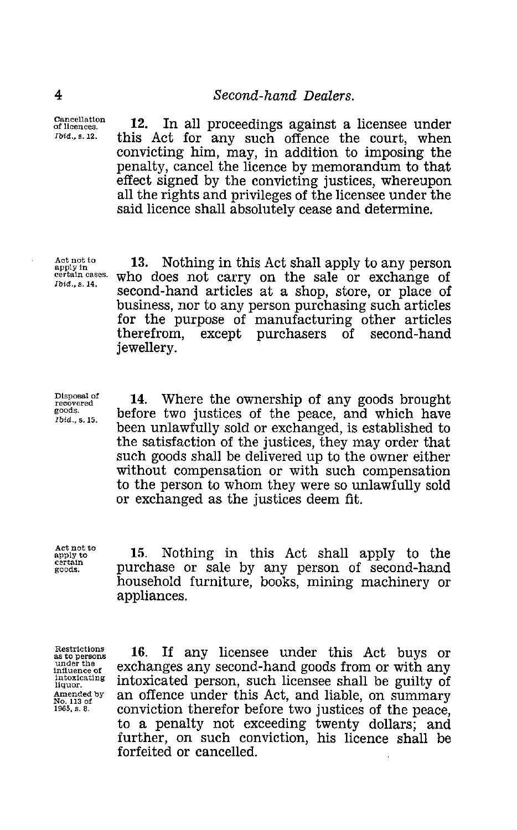Cancellation of licences. *Ibid.,* s. 12.

<sup>2</sup><br>
<sup>Cancellation</sup><br>
<sup>Cancellation</sup><br>
<sup>Cancellation</sup><br>
<sup>Cancellation</sup><br>
<sup>Cancellation</sup><br> *Libid.*, s. 12. <br> **Cancellation**<br> **Cancellation**<br> **Cancellation**<br> **Cancellation**<br> **Cancellation**<br> **Cancellation**<br> **Cancellation**<br> **Cance** 12. In all proceedings against a licensee under this Act for any such offence the court, when convicting him, may, in addition to imposing the penalty, cancel the licence by memorandum to that effect signed by the convicting justices, whereupon all the rights and privileges of the licensee under the said licence shall absolutely cease and determine.

Act not to apply in certain cases. *Ibid.,* s. 14.

13. Nothing in this Act shall apply to any person who does not carry on the sale or exchange of second-hand articles at a shop, store, or place of business, nor to any person purchasing such articles for the purpose of manufacturing other articles therefrom, except purchasers of second-hand jewellery.

Disposal of recovered goods. *Ibid.,* s. 15.

14. Where the ownership of any goods brought before two justices of the peace, and which have been unlawfully sold or exchanged, is established to the satisfaction of the justices, they may order that such goods shall be delivered up to the owner either without compensation or with such compensation to the person to whom they were so unlawfully sold or exchanged as the justices deem fit. been unlawfully sold or exchanged, is established to<br>the satisfaction of the justices, they may order that<br>such goods shall be delivered up to the owner either<br>without compensation or with such compensation<br>to the person t

Act not to apply to<br>certain<br>goods.

15. Nothing in this Act shall apply to the purchase or sale by any person of second-hand household furniture, books, mining machinery or appliances.

Restrictions as to persons under the influence of intoxicating liquor. Amended by No. 113 of 1965, s. 8.

16. If any licensee under this Act buys or exchanges any second-hand goods from or with any intoxicated person, such licensee shall be guilty of an offence under this Act, and liable, on summary conviction therefor before two justices of the peace, to a penalty not exceeding twenty dollars; and further, on such conviction, his licence shall be forfeited or cancelled.